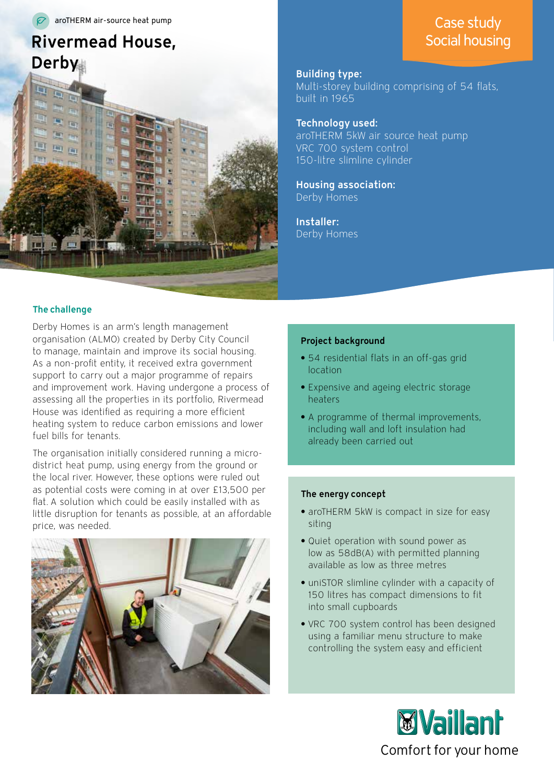aroTHERM air-source heat pump

# Rivermead House, Derby



# The challenge

Derby Homes is an arm's length management organisation (ALMO) created by Derby City Council to manage, maintain and improve its social housing. As a non-profit entity, it received extra government support to carry out a major programme of repairs and improvement work. Having undergone a process of assessing all the properties in its portfolio, Rivermead House was identified as requiring a more efficient heating system to reduce carbon emissions and lower fuel bills for tenants.

The organisation initially considered running a microdistrict heat pump, using energy from the ground or the local river. However, these options were ruled out as potential costs were coming in at over £13,500 per flat. A solution which could be easily installed with as little disruption for tenants as possible, at an affordable price, was needed.



# Building type:

Multi-storey building comprising of 54 flats, built in 1965

Technology used: aroTHERM 5kW air source heat pump VRC 700 system control 150-litre slimline cylinder

Housing association: Derby Homes

Installer: Derby Homes

### Project background

- **•** 54 residential flats in an off-gas grid location
- **•** Expensive and ageing electric storage heaters
- **•** A programme of thermal improvements, including wall and loft insulation had already been carried out

## The energy concept

- **•** aroTHERM 5kW is compact in size for easy siting
- **•** Quiet operation with sound power as low as 58dB(A) with permitted planning available as low as three metres
- **•** uniSTOR slimline cylinder with a capacity of 150 litres has compact dimensions to fit into small cupboards
- **•** VRC 700 system control has been designed using a familiar menu structure to make controlling the system easy and efficient



# Case study Social housing